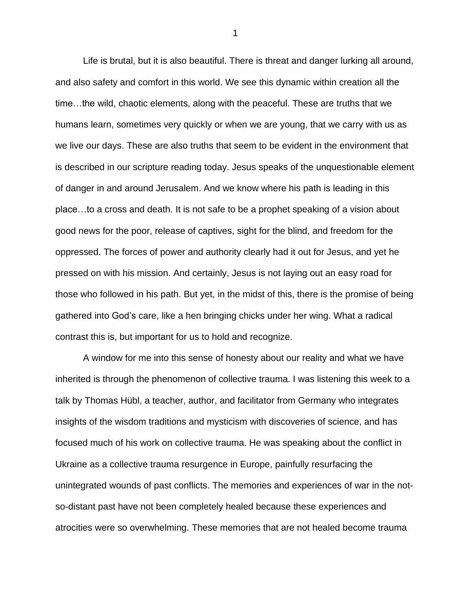Life is brutal, but it is also beautiful. There is threat and danger lurking all around, and also safety and comfort in this world. We see this dynamic within creation all the time…the wild, chaotic elements, along with the peaceful. These are truths that we humans learn, sometimes very quickly or when we are young, that we carry with us as we live our days. These are also truths that seem to be evident in the environment that is described in our scripture reading today. Jesus speaks of the unquestionable element of danger in and around Jerusalem. And we know where his path is leading in this place…to a cross and death. It is not safe to be a prophet speaking of a vision about good news for the poor, release of captives, sight for the blind, and freedom for the oppressed. The forces of power and authority clearly had it out for Jesus, and yet he pressed on with his mission. And certainly, Jesus is not laying out an easy road for those who followed in his path. But yet, in the midst of this, there is the promise of being gathered into God's care, like a hen bringing chicks under her wing. What a radical contrast this is, but important for us to hold and recognize.

A window for me into this sense of honesty about our reality and what we have inherited is through the phenomenon of collective trauma. I was listening this week to a talk by Thomas Hübl, a teacher, author, and facilitator from Germany who integrates insights of the wisdom traditions and mysticism with discoveries of science, and has focused much of his work on collective trauma. He was speaking about the conflict in Ukraine as a collective trauma resurgence in Europe, painfully resurfacing the unintegrated wounds of past conflicts. The memories and experiences of war in the notso-distant past have not been completely healed because these experiences and atrocities were so overwhelming. These memories that are not healed become trauma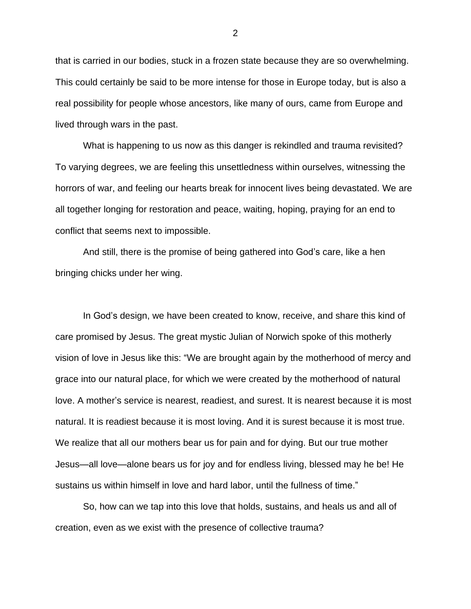that is carried in our bodies, stuck in a frozen state because they are so overwhelming. This could certainly be said to be more intense for those in Europe today, but is also a real possibility for people whose ancestors, like many of ours, came from Europe and lived through wars in the past.

What is happening to us now as this danger is rekindled and trauma revisited? To varying degrees, we are feeling this unsettledness within ourselves, witnessing the horrors of war, and feeling our hearts break for innocent lives being devastated. We are all together longing for restoration and peace, waiting, hoping, praying for an end to conflict that seems next to impossible.

And still, there is the promise of being gathered into God's care, like a hen bringing chicks under her wing.

In God's design, we have been created to know, receive, and share this kind of care promised by Jesus. The great mystic Julian of Norwich spoke of this motherly vision of love in Jesus like this: "We are brought again by the motherhood of mercy and grace into our natural place, for which we were created by the motherhood of natural love. A mother's service is nearest, readiest, and surest. It is nearest because it is most natural. It is readiest because it is most loving. And it is surest because it is most true. We realize that all our mothers bear us for pain and for dying. But our true mother Jesus—all love—alone bears us for joy and for endless living, blessed may he be! He sustains us within himself in love and hard labor, until the fullness of time."

So, how can we tap into this love that holds, sustains, and heals us and all of creation, even as we exist with the presence of collective trauma?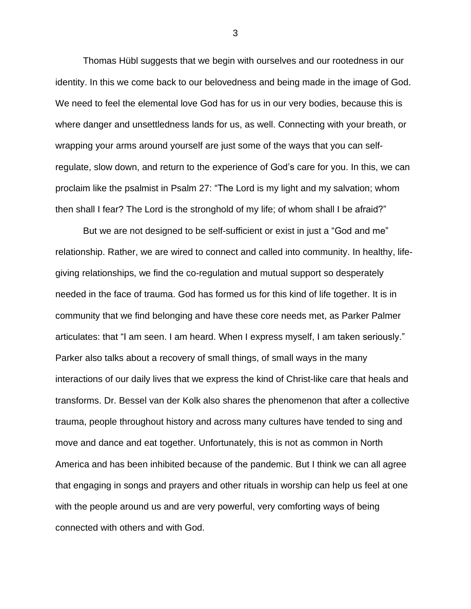Thomas Hübl suggests that we begin with ourselves and our rootedness in our identity. In this we come back to our belovedness and being made in the image of God. We need to feel the elemental love God has for us in our very bodies, because this is where danger and unsettledness lands for us, as well. Connecting with your breath, or wrapping your arms around yourself are just some of the ways that you can selfregulate, slow down, and return to the experience of God's care for you. In this, we can proclaim like the psalmist in Psalm 27: "The Lord is my light and my salvation; whom then shall I fear? The Lord is the stronghold of my life; of whom shall I be afraid?"

But we are not designed to be self-sufficient or exist in just a "God and me" relationship. Rather, we are wired to connect and called into community. In healthy, lifegiving relationships, we find the co-regulation and mutual support so desperately needed in the face of trauma. God has formed us for this kind of life together. It is in community that we find belonging and have these core needs met, as Parker Palmer articulates: that "I am seen. I am heard. When I express myself, I am taken seriously." Parker also talks about a recovery of small things, of small ways in the many interactions of our daily lives that we express the kind of Christ-like care that heals and transforms. Dr. Bessel van der Kolk also shares the phenomenon that after a collective trauma, people throughout history and across many cultures have tended to sing and move and dance and eat together. Unfortunately, this is not as common in North America and has been inhibited because of the pandemic. But I think we can all agree that engaging in songs and prayers and other rituals in worship can help us feel at one with the people around us and are very powerful, very comforting ways of being connected with others and with God.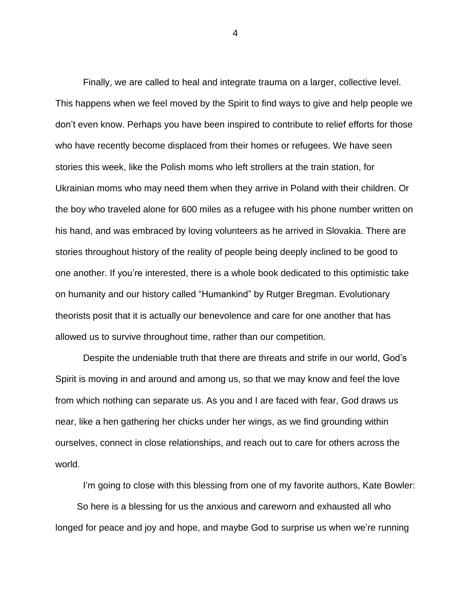Finally, we are called to heal and integrate trauma on a larger, collective level. This happens when we feel moved by the Spirit to find ways to give and help people we don't even know. Perhaps you have been inspired to contribute to relief efforts for those who have recently become displaced from their homes or refugees. We have seen stories this week, like the Polish moms who left strollers at the train station, for Ukrainian moms who may need them when they arrive in Poland with their children. Or the boy who traveled alone for 600 miles as a refugee with his phone number written on his hand, and was embraced by loving volunteers as he arrived in Slovakia. There are stories throughout history of the reality of people being deeply inclined to be good to one another. If you're interested, there is a whole book dedicated to this optimistic take on humanity and our history called "Humankind" by Rutger Bregman. Evolutionary theorists posit that it is actually our benevolence and care for one another that has allowed us to survive throughout time, rather than our competition.

Despite the undeniable truth that there are threats and strife in our world, God's Spirit is moving in and around and among us, so that we may know and feel the love from which nothing can separate us. As you and I are faced with fear, God draws us near, like a hen gathering her chicks under her wings, as we find grounding within ourselves, connect in close relationships, and reach out to care for others across the world.

I'm going to close with this blessing from one of my favorite authors, Kate Bowler: So here is a blessing for us the anxious and careworn and exhausted all who longed for peace and joy and hope, and maybe God to surprise us when we're running